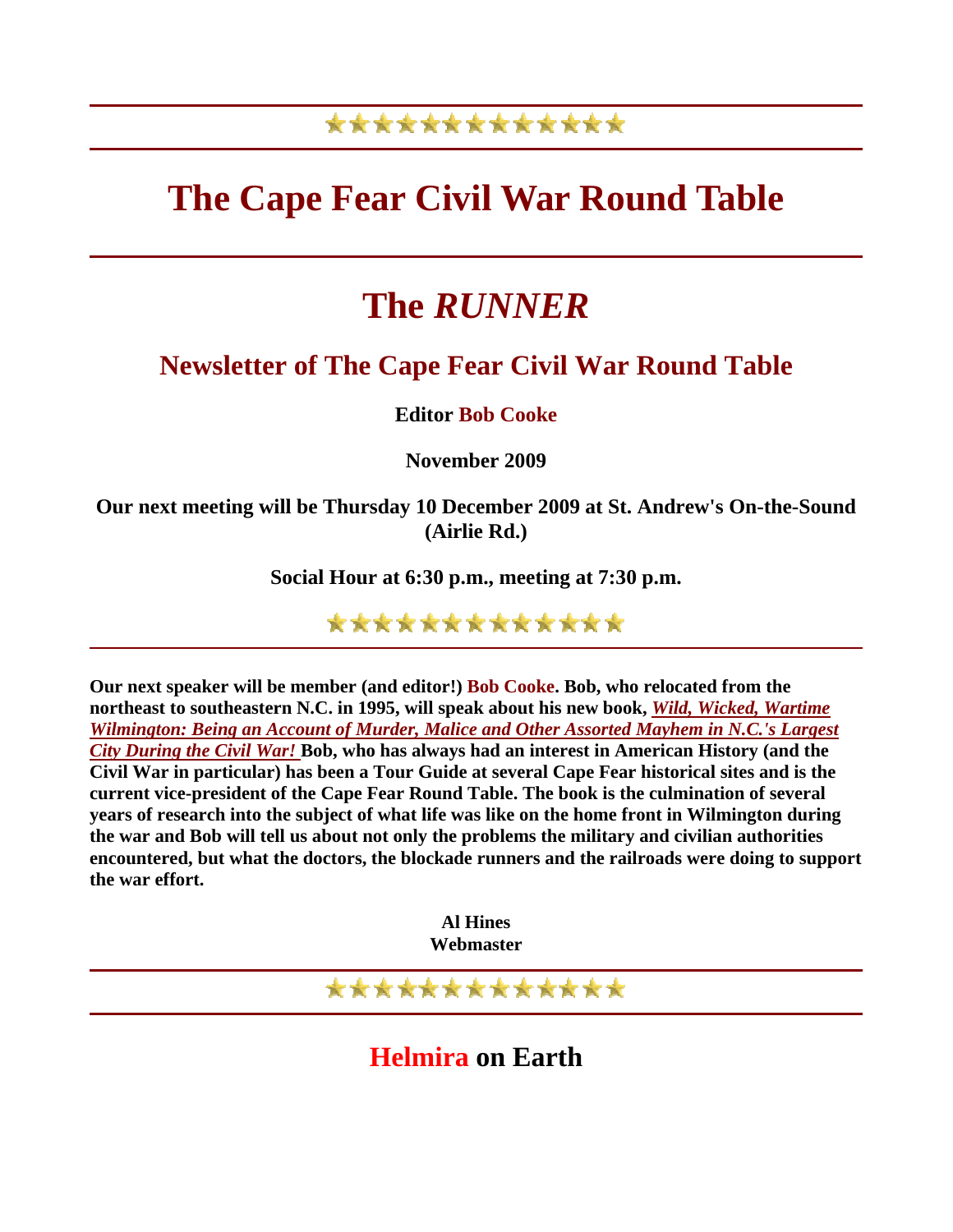## \*\*\*\*\*\*\*\*\*\*\*\*\*

## **The Cape Fear Civil War Round Table**

## **The** *RUNNER*

## **Newsletter of The Cape Fear Civil War Round Table**

**Editor Bob Cooke**

**November 2009** 

**Our next meeting will be Thursday 10 December 2009 at St. Andrew's On-the-Sound (Airlie Rd.)** 

**Social Hour at 6:30 p.m., meeting at 7:30 p.m.** 

\*\*\*\*\*\*\*\*\*\*\*\*\*

**Our next speaker will be member (and editor!) Bob Cooke. Bob, who relocated from the northeast to southeastern N.C. in 1995, will speak about his new book,** *[Wild, Wicked, Wartime](http://www.dramtreebooks.com/gallery/cat/dramtreetitles.html)  [Wilmington: Being an Account of Murder, Malice and Other Assorted Mayhem in N.C.'s Largest](http://www.dramtreebooks.com/gallery/cat/dramtreetitles.html)  [City During the Civil War!](http://www.dramtreebooks.com/gallery/cat/dramtreetitles.html)* **Bob, who has always had an interest in American History (and the Civil War in particular) has been a Tour Guide at several Cape Fear historical sites and is the current vice-president of the Cape Fear Round Table. The book is the culmination of several years of research into the subject of what life was like on the home front in Wilmington during the war and Bob will tell us about not only the problems the military and civilian authorities encountered, but what the doctors, the blockade runners and the railroads were doing to support the war effort.**

> **Al Hines Webmaster**

\*\*\*\*\*\*\*\*\*\*\*\*\*

**Helmira on Earth**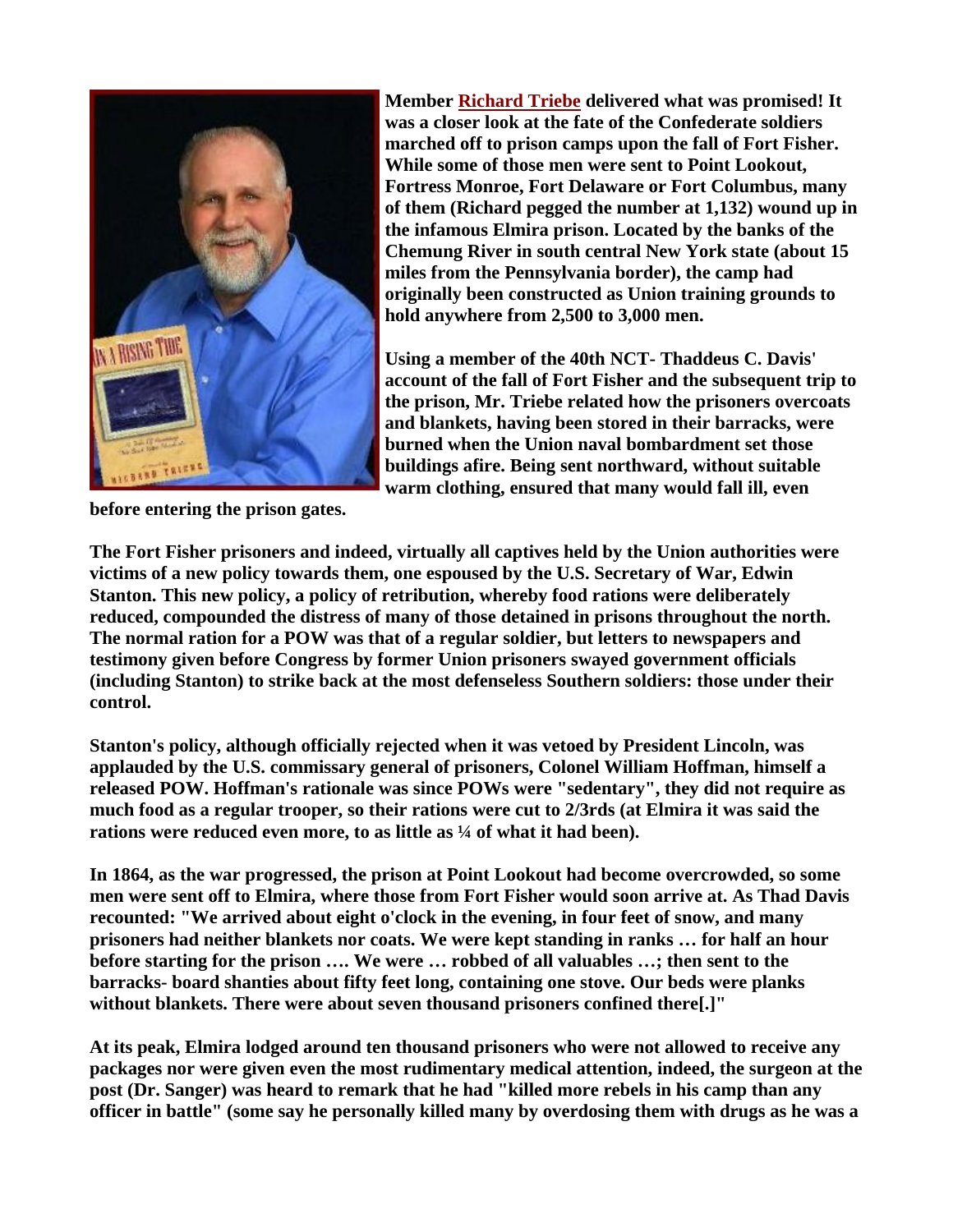

**Member [Richard Triebe](http://www.richardsbooks.net/) delivered what was promised! It was a closer look at the fate of the Confederate soldiers marched off to prison camps upon the fall of Fort Fisher. While some of those men were sent to Point Lookout, Fortress Monroe, Fort Delaware or Fort Columbus, many of them (Richard pegged the number at 1,132) wound up in the infamous Elmira prison. Located by the banks of the Chemung River in south central New York state (about 15 miles from the Pennsylvania border), the camp had originally been constructed as Union training grounds to hold anywhere from 2,500 to 3,000 men.** 

**Using a member of the 40th NCT- Thaddeus C. Davis' account of the fall of Fort Fisher and the subsequent trip to the prison, Mr. Triebe related how the prisoners overcoats and blankets, having been stored in their barracks, were burned when the Union naval bombardment set those buildings afire. Being sent northward, without suitable warm clothing, ensured that many would fall ill, even** 

**before entering the prison gates.** 

**The Fort Fisher prisoners and indeed, virtually all captives held by the Union authorities were victims of a new policy towards them, one espoused by the U.S. Secretary of War, Edwin Stanton. This new policy, a policy of retribution, whereby food rations were deliberately reduced, compounded the distress of many of those detained in prisons throughout the north. The normal ration for a POW was that of a regular soldier, but letters to newspapers and testimony given before Congress by former Union prisoners swayed government officials (including Stanton) to strike back at the most defenseless Southern soldiers: those under their control.** 

**Stanton's policy, although officially rejected when it was vetoed by President Lincoln, was applauded by the U.S. commissary general of prisoners, Colonel William Hoffman, himself a released POW. Hoffman's rationale was since POWs were "sedentary", they did not require as much food as a regular trooper, so their rations were cut to 2/3rds (at Elmira it was said the**  rations were reduced even more, to as little as <sup>1</sup>/4 of what it had been).

**In 1864, as the war progressed, the prison at Point Lookout had become overcrowded, so some men were sent off to Elmira, where those from Fort Fisher would soon arrive at. As Thad Davis recounted: "We arrived about eight o'clock in the evening, in four feet of snow, and many prisoners had neither blankets nor coats. We were kept standing in ranks … for half an hour before starting for the prison …. We were … robbed of all valuables …; then sent to the barracks- board shanties about fifty feet long, containing one stove. Our beds were planks without blankets. There were about seven thousand prisoners confined there[.]"**

**At its peak, Elmira lodged around ten thousand prisoners who were not allowed to receive any packages nor were given even the most rudimentary medical attention, indeed, the surgeon at the post (Dr. Sanger) was heard to remark that he had "killed more rebels in his camp than any officer in battle" (some say he personally killed many by overdosing them with drugs as he was a**